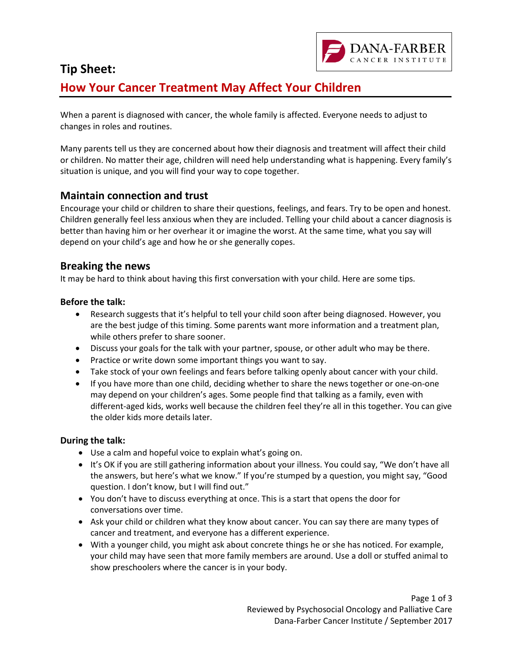

## **Tip Sheet:**

# **How Your Cancer Treatment May Affect Your Children**

When a parent is diagnosed with cancer, the whole family is affected. Everyone needs to adjust to changes in roles and routines.

Many parents tell us they are concerned about how their diagnosis and treatment will affect their child or children. No matter their age, children will need help understanding what is happening. Every family's situation is unique, and you will find your way to cope together.

## **Maintain connection and trust**

Encourage your child or children to share their questions, feelings, and fears. Try to be open and honest. Children generally feel less anxious when they are included. Telling your child about a cancer diagnosis is better than having him or her overhear it or imagine the worst. At the same time, what you say will depend on your child's age and how he or she generally copes.

## **Breaking the news**

It may be hard to think about having this first conversation with your child. Here are some tips.

#### **Before the talk:**

- Research suggests that it's helpful to tell your child soon after being diagnosed. However, you are the best judge of this timing. Some parents want more information and a treatment plan, while others prefer to share sooner.
- Discuss your goals for the talk with your partner, spouse, or other adult who may be there.
- Practice or write down some important things you want to say.
- Take stock of your own feelings and fears before talking openly about cancer with your child.
- If you have more than one child, deciding whether to share the news together or one-on-one may depend on your children's ages. Some people find that talking as a family, even with different-aged kids, works well because the children feel they're all in this together. You can give the older kids more details later.

#### **During the talk:**

- Use a calm and hopeful voice to explain what's going on.
- It's OK if you are still gathering information about your illness. You could say, "We don't have all the answers, but here's what we know." If you're stumped by a question, you might say, "Good question. I don't know, but I will find out."
- You don't have to discuss everything at once. This is a start that opens the door for conversations over time.
- Ask your child or children what they know about cancer. You can say there are many types of cancer and treatment, and everyone has a different experience.
- With a younger child, you might ask about concrete things he or she has noticed. For example, your child may have seen that more family members are around. Use a doll or stuffed animal to show preschoolers where the cancer is in your body.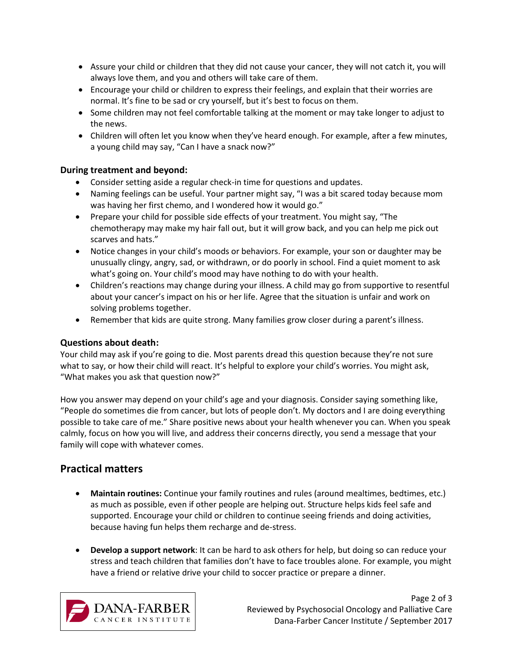- Assure your child or children that they did not cause your cancer, they will not catch it, you will always love them, and you and others will take care of them.
- Encourage your child or children to express their feelings, and explain that their worries are normal. It's fine to be sad or cry yourself, but it's best to focus on them.
- Some children may not feel comfortable talking at the moment or may take longer to adjust to the news.
- Children will often let you know when they've heard enough. For example, after a few minutes, a young child may say, "Can I have a snack now?"

#### **During treatment and beyond:**

- Consider setting aside a regular check-in time for questions and updates.
- Naming feelings can be useful. Your partner might say, "I was a bit scared today because mom was having her first chemo, and I wondered how it would go."
- Prepare your child for possible side effects of your treatment. You might say, "The chemotherapy may make my hair fall out, but it will grow back, and you can help me pick out scarves and hats."
- Notice changes in your child's moods or behaviors. For example, your son or daughter may be unusually clingy, angry, sad, or withdrawn, or do poorly in school. Find a quiet moment to ask what's going on. Your child's mood may have nothing to do with your health.
- Children's reactions may change during your illness. A child may go from supportive to resentful about your cancer's impact on his or her life. Agree that the situation is unfair and work on solving problems together.
- Remember that kids are quite strong. Many families grow closer during a parent's illness.

#### **Questions about death:**

Your child may ask if you're going to die. Most parents dread this question because they're not sure what to say, or how their child will react. It's helpful to explore your child's worries. You might ask, "What makes you ask that question now?"

How you answer may depend on your child's age and your diagnosis. Consider saying something like, "People do sometimes die from cancer, but lots of people don't. My doctors and I are doing everything possible to take care of me." Share positive news about your health whenever you can. When you speak calmly, focus on how you will live, and address their concerns directly, you send a message that your family will cope with whatever comes.

## **Practical matters**

- **Maintain routines:** Continue your family routines and rules (around mealtimes, bedtimes, etc.) as much as possible, even if other people are helping out. Structure helps kids feel safe and supported. Encourage your child or children to continue seeing friends and doing activities, because having fun helps them recharge and de-stress.
- **Develop a support network**: It can be hard to ask others for help, but doing so can reduce your stress and teach children that families don't have to face troubles alone. For example, you might have a friend or relative drive your child to soccer practice or prepare a dinner.



Page 2 of 3 Reviewed by Psychosocial Oncology and Palliative Care Dana-Farber Cancer Institute / September 2017